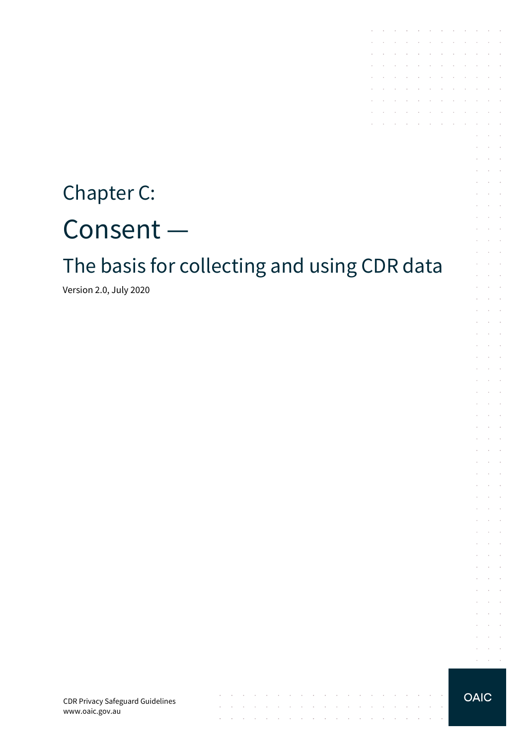# Chapter C: Consent —

# The basis for collecting and using CDR data

 $\mathcal{A}$  . The contribution of the contribution of the contribution of  $\mathcal{A}$ 

 $\sim$ 

and a series of the contract of the contract of the contract of the contract of

the contract of the contract of the contract of

 $\sim$ 

 $\sim$  $\sim$ 

**Carl Carl** 

Version 2.0, July 2020

CDR Privacy Safeguard Guidelines www.oaic.gov.au

#### **OAIC**

the contract of the contract of the contract of

**Contractor** 

 $\sim$ 

 $\sim 10^{-11}$ 

 $\sim$ **Service** and a state

 $\mathcal{L}$  $\mathcal{L}^{\text{max}}$ 

 $\mathcal{L}^{\mathcal{L}}$  $\Delta \sim 100$ 

 $\mathcal{L}^{\mathcal{L}}$  $\alpha$  and  $\alpha$ 

 $\sim$  $\sim 10^{-1}$ 

 $\sim$  $\sim 10^{-1}$  .

 $\epsilon$  $\alpha$  ,  $\beta$  ,  $\alpha$  $\mathcal{L}^{\text{max}}(\mathcal{L}^{\text{max}})$ V.  $\mathcal{L}$  $\sim$ **Service**  $\mathcal{L}^{\text{max}}$ 

and the control and a state

 $\mathcal{L}^{\text{max}}$  and  $\mathcal{L}^{\text{max}}$  $\mathcal{L}^{\text{max}}$  and  $\mathcal{L}^{\text{max}}$ 

 $\sim$ **Contractor** and the control

 $\mathcal{L}^{\mathcal{L}}$  $\alpha$  ,  $\beta$  ,  $\alpha$ 

 $\sim$  $\Delta\sim 100$ 

 $\bar{L}$  $\alpha$  ,  $\beta$  ,  $\alpha$ and a state

 $\sim$  $\sim$  $\sim$ 

 $\mathcal{L}$  $\sim$ **Service** State  $\alpha = \alpha + \beta$ 

 $\sim$ 

 $\mathcal{L}^{\mathcal{L}}$  $\bar{z}$  $\sim$  $\mathcal{L}^{\text{max}}$ and a state  $\sim$  $\mathcal{L}^{\text{max}}$ 

 $\mathcal{A}$  . The contribution of the contribution of the contribution of  $\mathcal{A}$ 

 $\mathcal{L}^{\mathcal{A}}$  . The set of the set of the set of the set of the set of  $\mathcal{L}^{\mathcal{A}}$ **Contractor** 

the contract of the contract of the  $\mathcal{A}^{\mathcal{A}}$  , and  $\mathcal{A}^{\mathcal{A}}$  , and  $\mathcal{A}^{\mathcal{A}}$  , and  $\mathcal{A}^{\mathcal{A}}$  , and  $\mathcal{A}^{\mathcal{A}}$ 

 $\mathcal{L}^{\mathcal{A}}$  . The contribution of the contribution of the contribution of  $\mathcal{L}^{\mathcal{A}}$ and a state of the state of the

the control of the control of

 $\sim$  $\sim$ 

÷.  $\sim$  $\sim$ 

V.

÷.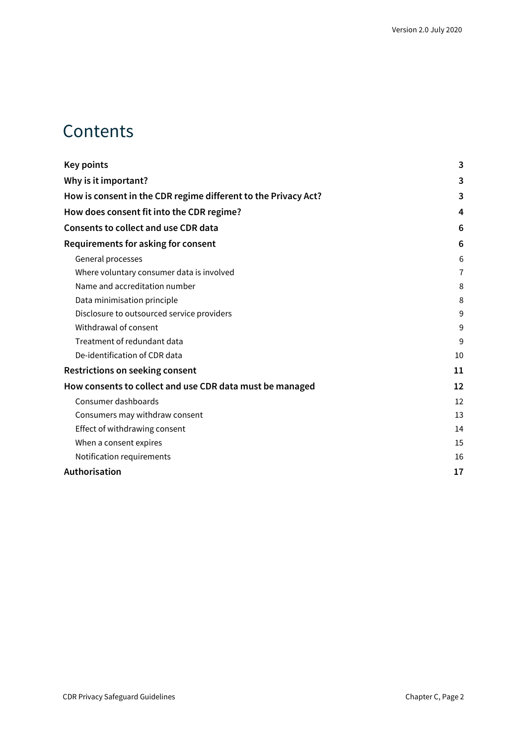### **Contents**

| <b>Key points</b>                                              | 3              |
|----------------------------------------------------------------|----------------|
| Why is it important?                                           | 3              |
| How is consent in the CDR regime different to the Privacy Act? | 3              |
| How does consent fit into the CDR regime?                      | 4              |
| <b>Consents to collect and use CDR data</b>                    | 6              |
| Requirements for asking for consent                            | 6              |
| General processes                                              | 6              |
| Where voluntary consumer data is involved                      | $\overline{7}$ |
| Name and accreditation number                                  | 8              |
| Data minimisation principle                                    | 8              |
| Disclosure to outsourced service providers                     | 9              |
| Withdrawal of consent                                          | 9              |
| Treatment of redundant data                                    | 9              |
| De-identification of CDR data                                  | 10             |
| <b>Restrictions on seeking consent</b>                         | 11             |
| How consents to collect and use CDR data must be managed       | 12             |
| Consumer dashboards                                            | 12             |
| Consumers may withdraw consent                                 | 13             |
| Effect of withdrawing consent                                  | 14             |
| When a consent expires                                         | 15             |
| Notification requirements                                      | 16             |
| Authorisation                                                  | 17             |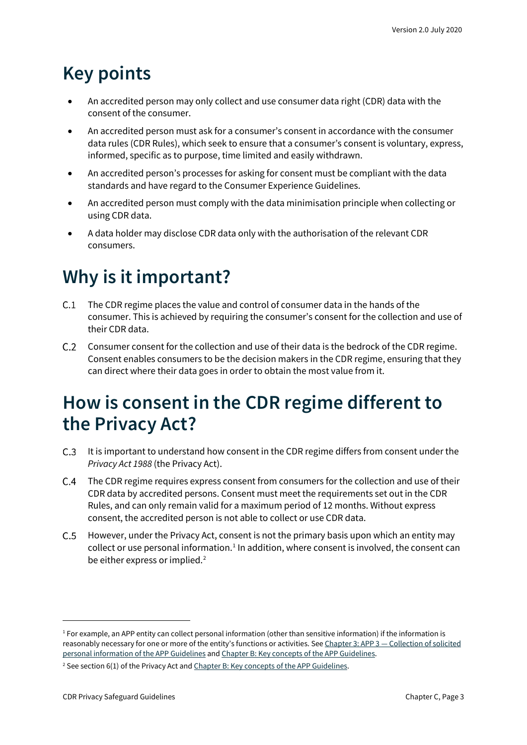# <span id="page-2-0"></span>**Key points**

- An accredited person may only collect and use consumer data right (CDR) data with the consent of the consumer.
- An accredited person must ask for a consumer's consent in accordance with the consumer data rules (CDR Rules), which seek to ensure that a consumer's consent is voluntary, express, informed, specific as to purpose, time limited and easily withdrawn.
- An accredited person's processes for asking for consent must be compliant with the data standards and have regard to the Consumer Experience Guidelines.
- An accredited person must comply with the data minimisation principle when collecting or using CDR data.
- A data holder may disclose CDR data only with the authorisation of the relevant CDR consumers.

# <span id="page-2-1"></span>**Why is it important?**

- C.1 The CDR regime places the value and control of consumer data in the hands of the consumer. This is achieved by requiring the consumer's consent for the collection and use of their CDR data.
- $C.2$ Consumer consent for the collection and use of their data is the bedrock of the CDR regime. Consent enables consumers to be the decision makers in the CDR regime, ensuring that they can direct where their data goes in order to obtain the most value from it.

## <span id="page-2-2"></span>**How is consent in the CDR regime different to the Privacy Act?**

- C.3 It is important to understand how consent in the CDR regime differs from consent under the *Privacy Act 1988* (the Privacy Act).
- The CDR regime requires express consent from consumers for the collection and use of their CDR data by accredited persons. Consent must meet the requirements set out in the CDR Rules, and can only remain valid for a maximum period of 12 months. Without express consent, the accredited person is not able to collect or use CDR data.
- $C.5$ However, under the Privacy Act, consent is not the primary basis upon which an entity may collect or use personal information.<sup>[1](#page-2-3)</sup> In addition, where consent is involved, the consent can be either express or implied.<sup>[2](#page-2-4)</sup>

<span id="page-2-3"></span> $1$  For example, an APP entity can collect personal information (other than sensitive information) if the information is reasonably necessary for one or more of the entity's functions or activities. See Chapter 3: APP 3 — [Collection of solicited](https://www.oaic.gov.au/privacy/australian-privacy-principles-guidelines/chapter-3-app-3-collection-of-solicited-personal-information/)  [personal information of the APP Guidelines](https://www.oaic.gov.au/privacy/australian-privacy-principles-guidelines/chapter-3-app-3-collection-of-solicited-personal-information/) an[d Chapter B: Key concepts of the APP Guidelines.](https://www.oaic.gov.au/privacy/australian-privacy-principles-guidelines/chapter-b-key-concepts/) 

<span id="page-2-4"></span><sup>&</sup>lt;sup>2</sup> See section 6(1) of the Privacy Act an[d Chapter B: Key concepts of the APP Guidelines.](https://www.oaic.gov.au/privacy/australian-privacy-principles-guidelines/chapter-b-key-concepts/)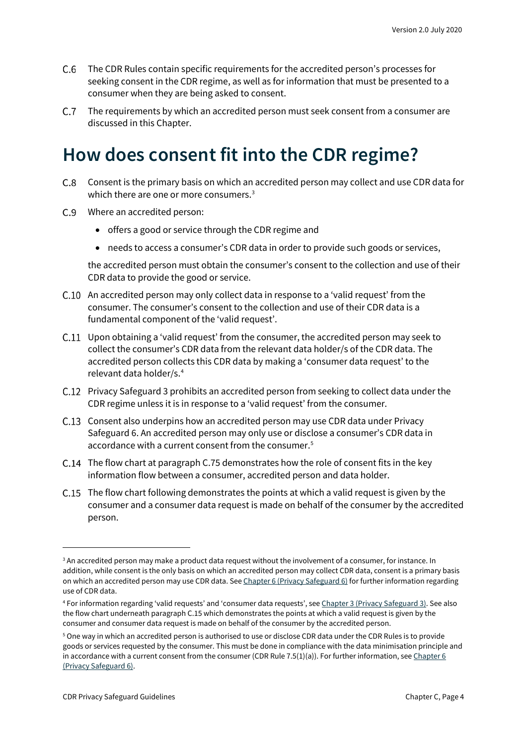- The CDR Rules contain specific requirements for the accredited person's processes for seeking consent in the CDR regime, as well as for information that must be presented to a consumer when they are being asked to consent.
- C.7 The requirements by which an accredited person must seek consent from a consumer are discussed in this Chapter.

## <span id="page-3-0"></span>**How does consent fit into the CDR regime?**

- Consent is the primary basis on which an accredited person may collect and use CDR data for  $C.8$ which there are one or more consumers.<sup>[3](#page-3-1)</sup>
- Where an accredited person:
	- offers a good or service through the CDR regime and
	- needs to access a consumer's CDR data in order to provide such goods or services,

the accredited person must obtain the consumer's consent to the collection and use of their CDR data to provide the good or service.

- An accredited person may only collect data in response to a 'valid request' from the consumer. The consumer's consent to the collection and use of their CDR data is a fundamental component of the 'valid request'.
- Upon obtaining a 'valid request' from the consumer, the accredited person may seek to collect the consumer's CDR data from the relevant data holder/s of the CDR data. The accredited person collects this CDR data by making a 'consumer data request' to the relevant data holder/s.[4](#page-3-2)
- C.12 Privacy Safeguard 3 prohibits an accredited person from seeking to collect data under the CDR regime unless it is in response to a 'valid request' from the consumer.
- C.13 Consent also underpins how an accredited person may use CDR data under Privacy Safeguard 6. An accredited person may only use or disclose a consumer's CDR data in accordance with a current consent from the consumer.<sup>[5](#page-3-3)</sup>
- C.14 The flow chart at paragraph C.75 demonstrates how the role of consent fits in the key information flow between a consumer, accredited person and data holder.
- C.15 The flow chart following demonstrates the points at which a valid request is given by the consumer and a consumer data request is made on behalf of the consumer by the accredited person.

<span id="page-3-1"></span><sup>&</sup>lt;sup>3</sup> An accredited person may make a product data request without the involvement of a consumer, for instance. In addition, while consent is the only basis on which an accredited person may collect CDR data, consent is a primary basis on which an accredited person may use CDR data. Se[e Chapter 6 \(Privacy Safeguard 6\)](https://www.oaic.gov.au/consumer-data-right/cdr-privacy-safeguard-guidelines/chapter-6-privacy-safeguard-6-use-or-disclosure-of-cdr-data-by-accredited-data-recipients-or-designated-gateways) for further information regarding use of CDR data.

<span id="page-3-2"></span><sup>4</sup> For information regarding 'valid requests' and 'consumer data requests', se[e Chapter 3 \(Privacy Safeguard 3\).](https://www.oaic.gov.au/consumer-data-right/cdr-privacy-safeguard-guidelines/chapter-3-privacy-safeguard-3-seeking-to-collect-cdr-data-from-cdr-participants) See also the flow chart underneath paragraph C.15 which demonstrates the points at which a valid request is given by the consumer and consumer data request is made on behalf of the consumer by the accredited person.

<span id="page-3-3"></span><sup>5</sup> One way in which an accredited person is authorised to use or disclose CDR data under the CDR Rules is to provide goods or services requested by the consumer. This must be done in compliance with the data minimisation principle and in accordance with a current consent from the consumer (CDR Rule 7.5(1)(a)). For further information, se[e Chapter 6](https://www.oaic.gov.au/consumer-data-right/cdr-privacy-safeguard-guidelines/chapter-6-privacy-safeguard-6-use-or-disclosure-of-cdr-data-by-accredited-data-recipients-or-designated-gateways)  [\(Privacy Safeguard 6\).](https://www.oaic.gov.au/consumer-data-right/cdr-privacy-safeguard-guidelines/chapter-6-privacy-safeguard-6-use-or-disclosure-of-cdr-data-by-accredited-data-recipients-or-designated-gateways)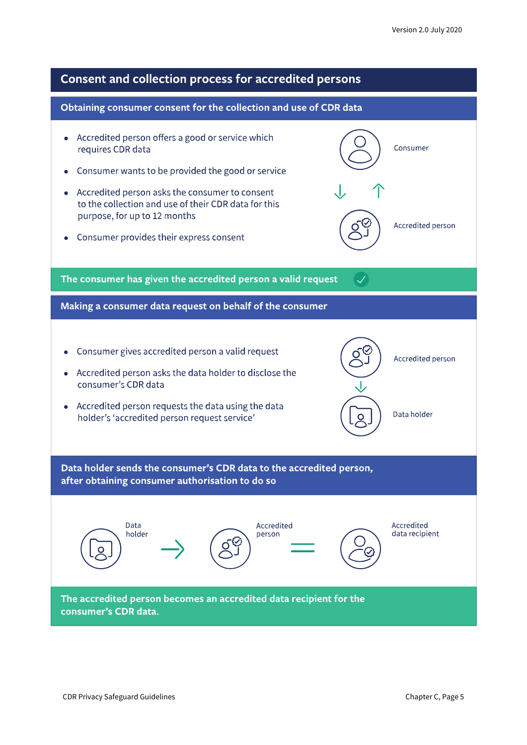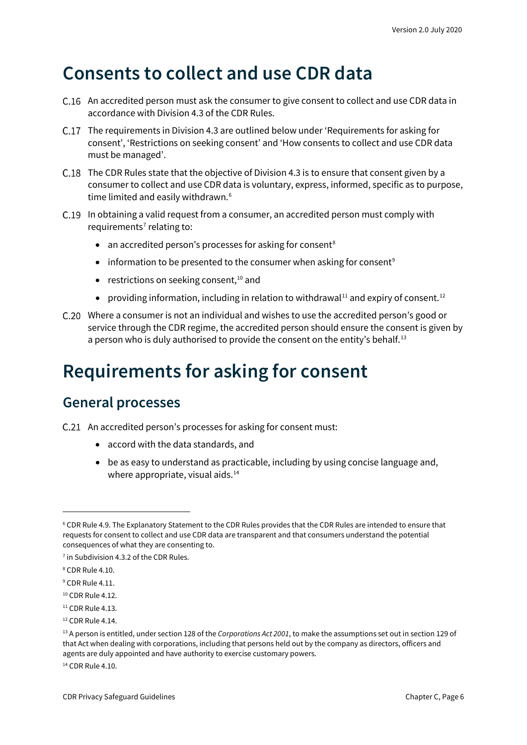### <span id="page-5-0"></span>**Consents to collect and use CDR data**

- C.16 An accredited person must ask the consumer to give consent to collect and use CDR data in accordance with Division 4.3 of the CDR Rules.
- The requirements in Division 4.3 are outlined below under 'Requirements for asking for consent', 'Restrictions on seeking consent' and 'How consents to collect and use CDR data must be managed'.
- C.18 The CDR Rules state that the objective of Division 4.3 is to ensure that consent given by a consumer to collect and use CDR data is voluntary, express, informed, specific as to purpose, time limited and easily withdrawn.<sup>[6](#page-5-3)</sup>
- C.19 In obtaining a valid request from a consumer, an accredited person must comply with requirements<sup> $7$ </sup> relating to:
	- an accredited person's processes for asking for consent<sup>[8](#page-5-5)</sup>
	- information to be presented to the consumer when asking for consent<sup>[9](#page-5-6)</sup>
	- restrictions on seeking consent,<sup>[10](#page-5-7)</sup> and
	- providing information, including in relation to withdrawal<sup>[11](#page-5-8)</sup> and expiry of consent.<sup>[12](#page-5-9)</sup>
- Where a consumer is not an individual and wishes to use the accredited person's good or service through the CDR regime, the accredited person should ensure the consent is given by a person who is duly authorised to provide the consent on the entity's behalf.<sup>[13](#page-5-10)</sup>

# <span id="page-5-1"></span>**Requirements for asking for consent**

#### <span id="page-5-2"></span>**General processes**

- C.21 An accredited person's processes for asking for consent must:
	- accord with the data standards, and
	- be as easy to understand as practicable, including by using concise language and, where appropriate, visual aids.<sup>[14](#page-5-11)</sup>

<span id="page-5-11"></span><sup>14</sup> CDR Rule 4.10.

<span id="page-5-3"></span><sup>6</sup> CDR Rule 4.9. The Explanatory Statement to the CDR Rules provides that the CDR Rules are intended to ensure that requests for consent to collect and use CDR data are transparent and that consumers understand the potential consequences of what they are consenting to.

<span id="page-5-4"></span><sup>&</sup>lt;sup>7</sup> in Subdivision 4.3.2 of the CDR Rules.

<span id="page-5-5"></span><sup>8</sup> CDR Rule 4.10.

<span id="page-5-6"></span><sup>&</sup>lt;sup>9</sup> CDR Rule 4.11.

<span id="page-5-7"></span><sup>&</sup>lt;sup>10</sup> CDR Rule 4.12.

<span id="page-5-8"></span> $11$  CDR Rule 4.13.

<span id="page-5-9"></span><sup>12</sup> CDR Rule 4.14.

<span id="page-5-10"></span><sup>13</sup> A person is entitled, under section 128 of the *Corporations Act 2001*, to make the assumptions set out in section 129 of that Act when dealing with corporations, including that persons held out by the company as directors, officers and agents are duly appointed and have authority to exercise customary powers.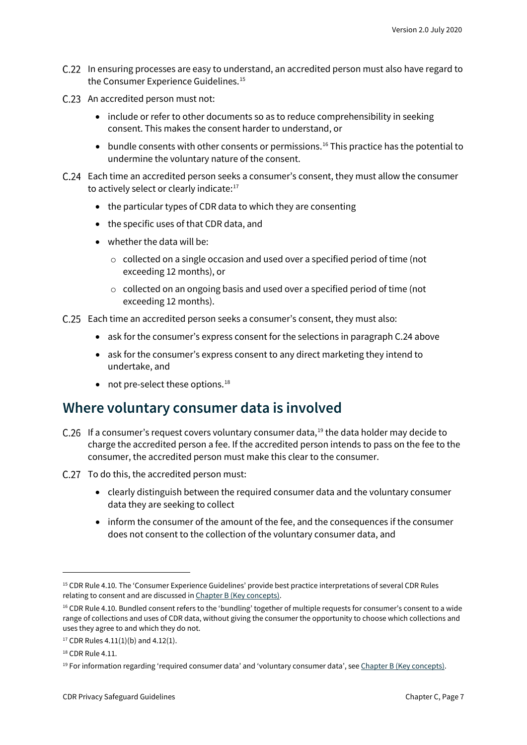- C.22 In ensuring processes are easy to understand, an accredited person must also have regard to the Consumer Experience Guidelines. [15](#page-6-1)
- C.23 An accredited person must not:
	- include or refer to other documents so as to reduce comprehensibility in seeking consent. This makes the consent harder to understand, or
	- bundle consents with other consents or permissions.<sup>[16](#page-6-2)</sup> This practice has the potential to undermine the voluntary nature of the consent.
- Each time an accredited person seeks a consumer's consent, they must allow the consumer to actively select or clearly indicate:<sup>17</sup>
	- the particular types of CDR data to which they are consenting
	- the specific uses of that CDR data, and
	- whether the data will be:
		- o collected on a single occasion and used over a specified period of time (not exceeding 12 months), or
		- o collected on an ongoing basis and used over a specified period of time (not exceeding 12 months).
- Each time an accredited person seeks a consumer's consent, they must also:
	- ask for the consumer's express consent for the selections in paragraph C.24 above
	- ask for the consumer's express consent to any direct marketing they intend to undertake, and
	- not pre-select these options. $^{18}$  $^{18}$  $^{18}$

#### <span id="page-6-0"></span>**Where voluntary consumer data is involved**

- C.26 If a consumer's request covers voluntary consumer data, $19$  the data holder may decide to charge the accredited person a fee. If the accredited person intends to pass on the fee to the consumer, the accredited person must make this clear to the consumer.
- C.27 To do this, the accredited person must:
	- clearly distinguish between the required consumer data and the voluntary consumer data they are seeking to collect
	- inform the consumer of the amount of the fee, and the consequences if the consumer does not consent to the collection of the voluntary consumer data, and

<span id="page-6-1"></span><sup>&</sup>lt;sup>15</sup> CDR Rule 4.10. The 'Consumer Experience Guidelines' provide best practice interpretations of several CDR Rules relating to consent and are discussed i[n Chapter B \(Key concepts\).](https://www.oaic.gov.au/consumer-data-right/cdr-privacy-safeguard-guidelines/chapter-b-key-concepts)

<span id="page-6-2"></span><sup>&</sup>lt;sup>16</sup> CDR Rule 4.10. Bundled consent refers to the 'bundling' together of multiple requests for consumer's consent to a wide range of collections and uses of CDR data, without giving the consumer the opportunity to choose which collections and uses they agree to and which they do not.

<span id="page-6-3"></span> $17$  CDR Rules 4.11(1)(b) and 4.12(1).

<span id="page-6-4"></span><sup>18</sup> CDR Rule 4.11.

<span id="page-6-5"></span><sup>19</sup> For information regarding 'required consumer data' and 'voluntary consumer data', se[e Chapter B \(Key concepts\).](https://www.oaic.gov.au/consumer-data-right/cdr-privacy-safeguard-guidelines/chapter-b-key-concepts)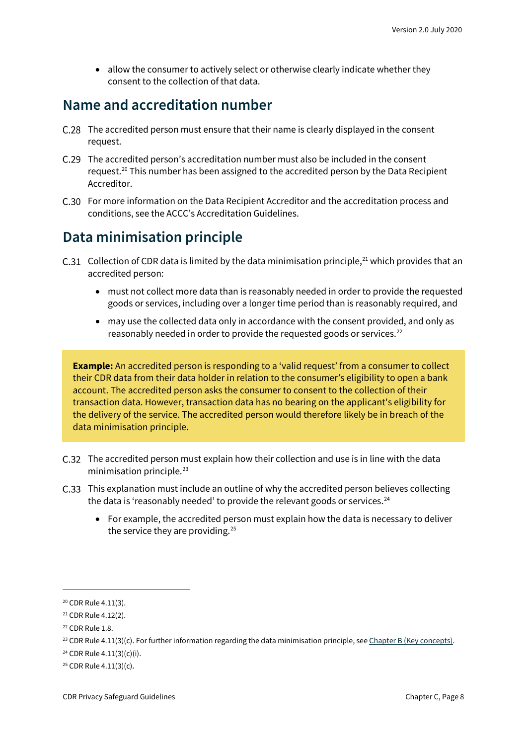• allow the consumer to actively select or otherwise clearly indicate whether they consent to the collection of that data.

#### <span id="page-7-0"></span>**Name and accreditation number**

- C.28 The accredited person must ensure that their name is clearly displayed in the consent request.
- The accredited person's accreditation number must also be included in the consent request.<sup>[20](#page-7-2)</sup> This number has been assigned to the accredited person by the Data Recipient Accreditor.
- For more information on the Data Recipient Accreditor and the accreditation process and conditions, see the ACCC's Accreditation Guidelines.

#### <span id="page-7-1"></span>**Data minimisation principle**

- C.31 Collection of CDR data is limited by the data minimisation principle,<sup>[21](#page-7-3)</sup> which provides that an accredited person:
	- must not collect more data than is reasonably needed in order to provide the requested goods or services, including over a longer time period than is reasonably required, and
	- may use the collected data only in accordance with the consent provided, and only as reasonably needed in order to provide the requested goods or services.<sup>[22](#page-7-4)</sup>

**Example:** An accredited person is responding to a 'valid request' from a consumer to collect their CDR data from their data holder in relation to the consumer's eligibility to open a bank account. The accredited person asks the consumer to consent to the collection of their transaction data. However, transaction data has no bearing on the applicant's eligibility for the delivery of the service. The accredited person would therefore likely be in breach of the data minimisation principle.

- The accredited person must explain how their collection and use is in line with the data minimisation principle.<sup>[23](#page-7-5)</sup>
- This explanation must include an outline of why the accredited person believes collecting the data is 'reasonably needed' to provide the relevant goods or services. $^{24}$  $^{24}$  $^{24}$ 
	- For example, the accredited person must explain how the data is necessary to deliver the service they are providing.<sup>[25](#page-7-7)</sup>

<span id="page-7-2"></span><sup>20</sup> CDR Rule 4.11(3).

<span id="page-7-3"></span><sup>21</sup> CDR Rule 4.12(2).

<span id="page-7-4"></span><sup>22</sup> CDR Rule 1.8.

<span id="page-7-5"></span><sup>&</sup>lt;sup>23</sup> CDR Rule 4.11(3)(c). For further information regarding the data minimisation principle, se[e Chapter B \(Key concepts\).](https://www.oaic.gov.au/consumer-data-right/cdr-privacy-safeguard-guidelines/chapter-b-key-concepts)

<span id="page-7-6"></span><sup>24</sup> CDR Rule 4.11(3)(c)(i).

<span id="page-7-7"></span> $25$  CDR Rule 4.11(3)(c).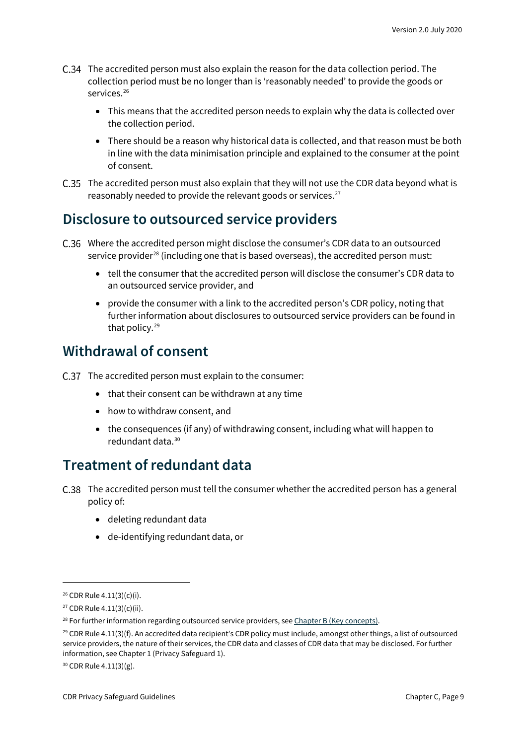- The accredited person must also explain the reason for the data collection period. The collection period must be no longer than is 'reasonably needed' to provide the goods or services.<sup>[26](#page-8-3)</sup>
	- This means that the accredited person needs to explain why the data is collected over the collection period.
	- There should be a reason why historical data is collected, and that reason must be both in line with the data minimisation principle and explained to the consumer at the point of consent.
- The accredited person must also explain that they will not use the CDR data beyond what is reasonably needed to provide the relevant goods or services.<sup>27</sup>

#### <span id="page-8-0"></span>**Disclosure to outsourced service providers**

- Where the accredited person might disclose the consumer's CDR data to an outsourced service provider<sup>[28](#page-8-5)</sup> (including one that is based overseas), the accredited person must:
	- tell the consumer that the accredited person will disclose the consumer's CDR data to an outsourced service provider, and
	- provide the consumer with a link to the accredited person's CDR policy, noting that further information about disclosures to outsourced service providers can be found in that policy.[29](#page-8-6)

#### <span id="page-8-1"></span>**Withdrawal of consent**

- C.37 The accredited person must explain to the consumer:
	- that their consent can be withdrawn at any time
	- how to withdraw consent, and
	- the consequences (if any) of withdrawing consent, including what will happen to redundant data.[30](#page-8-7)

#### <span id="page-8-2"></span>**Treatment of redundant data**

- The accredited person must tell the consumer whether the accredited person has a general policy of:
	- deleting redundant data
	- de-identifying redundant data, or

<span id="page-8-3"></span><sup>26</sup> CDR Rule 4.11(3)(c)(i).

<span id="page-8-4"></span><sup>27</sup> CDR Rule 4.11(3)(c)(ii).

<span id="page-8-5"></span> $28$  For further information regarding outsourced service providers, se[e Chapter B \(Key concepts\).](https://www.oaic.gov.au/consumer-data-right/cdr-privacy-safeguard-guidelines/chapter-b-key-concepts)

<span id="page-8-6"></span> $29$  CDR Rule 4.11(3)(f). An accredited data recipient's CDR policy must include, amongst other things, a list of outsourced service providers, the nature of their services, the CDR data and classes of CDR data that may be disclosed. For further information, see Chapter 1 (Privacy Safeguard 1).

<span id="page-8-7"></span><sup>30</sup> CDR Rule 4.11(3)(g).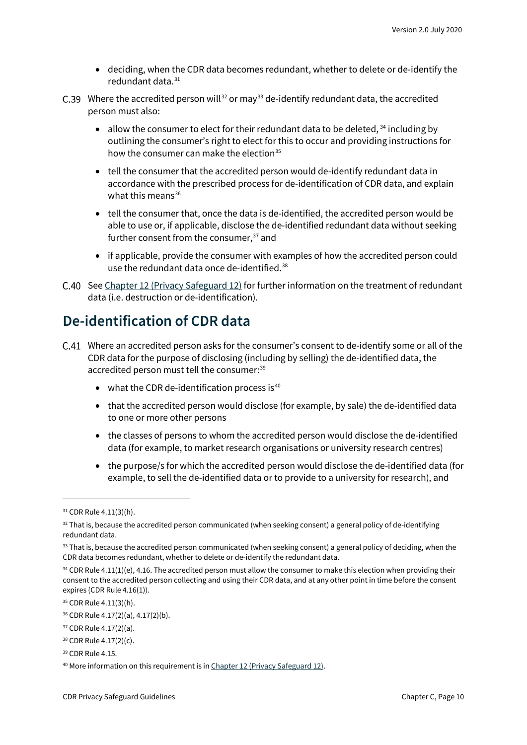- deciding, when the CDR data becomes redundant, whether to delete or de-identify the redundant data.<sup>[31](#page-9-1)</sup>
- C.39 Where the accredited person will<sup>[32](#page-9-2)</sup> or may<sup>[33](#page-9-3)</sup> de-identify redundant data, the accredited person must also:
	- allow the consumer to elect for their redundant data to be deleted,  $34$  including by outlining the consumer's right to elect for this to occur and providing instructions for how the consumer can make the election $35$
	- tell the consumer that the accredited person would de-identify redundant data in accordance with the prescribed process for de-identification of CDR data, and explain what this means $36$
	- tell the consumer that, once the data is de-identified, the accredited person would be able to use or, if applicable, disclose the de-identified redundant data without seeking further consent from the consumer,<sup>[37](#page-9-7)</sup> and
	- if applicable, provide the consumer with examples of how the accredited person could use the redundant data once de-identified.<sup>[38](#page-9-8)</sup>
- C.40 Se[e Chapter 12 \(Privacy Safeguard 12\)](https://www.oaic.gov.au/consumer-data-right/cdr-privacy-safeguard-guidelines/chapter-12-privacy-safeguard-12-security-of-cdr-data-and-destruction-of-de-identification-of-redundant-cdr-data) for further information on the treatment of redundant data (i.e. destruction or de-identification).

#### <span id="page-9-0"></span>**De-identification of CDR data**

- Where an accredited person asks for the consumer's consent to de-identify some or all of the CDR data for the purpose of disclosing (including by selling) the de-identified data, the accredited person must tell the consumer:<sup>[39](#page-9-9)</sup>
	- $\bullet$  what the CDR de-identification process is<sup>[40](#page-9-10)</sup>
	- that the accredited person would disclose (for example, by sale) the de-identified data to one or more other persons
	- the classes of persons to whom the accredited person would disclose the de-identified data (for example, to market research organisations or university research centres)
	- the purpose/s for which the accredited person would disclose the de-identified data (for example, to sell the de-identified data or to provide to a university for research), and

<span id="page-9-1"></span><sup>31</sup> CDR Rule 4.11(3)(h).

<span id="page-9-2"></span> $32$  That is, because the accredited person communicated (when seeking consent) a general policy of de-identifying redundant data.

<span id="page-9-3"></span><sup>&</sup>lt;sup>33</sup> That is, because the accredited person communicated (when seeking consent) a general policy of deciding, when the CDR data becomes redundant, whether to delete or de-identify the redundant data.

<span id="page-9-4"></span> $34$  CDR Rule 4.11(1)(e), 4.16. The accredited person must allow the consumer to make this election when providing their consent to the accredited person collecting and using their CDR data, and at any other point in time before the consent expires (CDR Rule 4.16(1)).

<span id="page-9-5"></span><sup>35</sup> CDR Rule 4.11(3)(h).

<span id="page-9-6"></span><sup>36</sup> CDR Rule 4.17(2)(a), 4.17(2)(b).

<span id="page-9-7"></span><sup>37</sup> CDR Rule 4.17(2)(a).

<span id="page-9-8"></span><sup>38</sup> CDR Rule 4.17(2)(c).

<span id="page-9-9"></span><sup>39</sup> CDR Rule 4.15.

<span id="page-9-10"></span><sup>&</sup>lt;sup>40</sup> More information on this requirement is i[n Chapter 12 \(Privacy Safeguard 12\).](https://www.oaic.gov.au/consumer-data-right/cdr-privacy-safeguard-guidelines/chapter-12-privacy-safeguard-12-security-of-cdr-data-and-destruction-of-de-identification-of-redundant-cdr-data)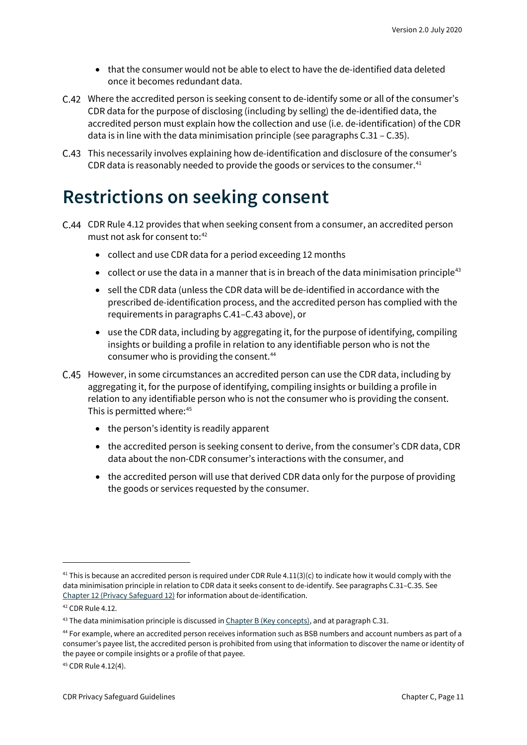- that the consumer would not be able to elect to have the de-identified data deleted once it becomes redundant data.
- Where the accredited person is seeking consent to de-identify some or all of the consumer's CDR data for the purpose of disclosing (including by selling) the de-identified data, the accredited person must explain how the collection and use (i.e. de-identification) of the CDR data is in line with the data minimisation principle (see paragraphs C.31 – C.35).
- This necessarily involves explaining how de-identification and disclosure of the consumer's CDR data is reasonably needed to provide the goods or services to the consumer. $41$

### <span id="page-10-0"></span>**Restrictions on seeking consent**

- C.44 CDR Rule 4.12 provides that when seeking consent from a consumer, an accredited person must not ask for consent to:<sup>[42](#page-10-2)</sup>
	- collect and use CDR data for a period exceeding 12 months
	- collect or use the data in a manner that is in breach of the data minimisation principle<sup>43</sup>
	- sell the CDR data (unless the CDR data will be de-identified in accordance with the prescribed de-identification process, and the accredited person has complied with the requirements in paragraphs C.41–C.43 above), or
	- use the CDR data, including by aggregating it, for the purpose of identifying, compiling insights or building a profile in relation to any identifiable person who is not the consumer who is providing the consent.<sup>44</sup>
- However, in some circumstances an accredited person can use the CDR data, including by aggregating it, for the purpose of identifying, compiling insights or building a profile in relation to any identifiable person who is not the consumer who is providing the consent. This is permitted where:<sup>45</sup>
	- the person's identity is readily apparent
	- the accredited person is seeking consent to derive, from the consumer's CDR data, CDR data about the non-CDR consumer's interactions with the consumer, and
	- the accredited person will use that derived CDR data only for the purpose of providing the goods or services requested by the consumer.

<span id="page-10-1"></span><sup>&</sup>lt;sup>41</sup> This is because an accredited person is required under CDR Rule 4.11(3)(c) to indicate how it would comply with the data minimisation principle in relation to CDR data it seeks consent to de-identify. See paragraphs C.31–C.35. See [Chapter 12 \(Privacy Safeguard 12\)](https://www.oaic.gov.au/consumer-data-right/cdr-privacy-safeguard-guidelines/chapter-12-privacy-safeguard-12-security-of-cdr-data-and-destruction-of-de-identification-of-redundant-cdr-data) for information about de-identification.

<span id="page-10-2"></span><sup>42</sup> CDR Rule 4.12.

<span id="page-10-3"></span> $43$  The data minimisation principle is discussed in  $Chapter B$  (Key concepts), and at paragraph C.31.

<span id="page-10-4"></span><sup>44</sup> For example, where an accredited person receives information such as BSB numbers and account numbers as part of a consumer's payee list, the accredited person is prohibited from using that information to discover the name or identity of the payee or compile insights or a profile of that payee.

<span id="page-10-5"></span><sup>45</sup> CDR Rule 4.12(4).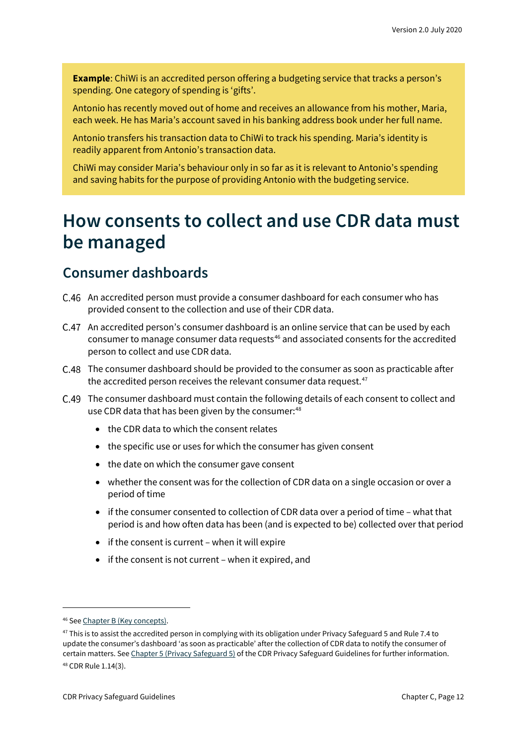**Example**: ChiWi is an accredited person offering a budgeting service that tracks a person's spending. One category of spending is 'gifts'.

Antonio has recently moved out of home and receives an allowance from his mother, Maria, each week. He has Maria's account saved in his banking address book under her full name.

Antonio transfers his transaction data to ChiWi to track his spending. Maria's identity is readily apparent from Antonio's transaction data.

ChiWi may consider Maria's behaviour only in so far as it is relevant to Antonio's spending and saving habits for the purpose of providing Antonio with the budgeting service.

### <span id="page-11-0"></span>**How consents to collect and use CDR data must be managed**

#### <span id="page-11-1"></span>**Consumer dashboards**

- An accredited person must provide a consumer dashboard for each consumer who has provided consent to the collection and use of their CDR data.
- An accredited person's consumer dashboard is an online service that can be used by each consumer to manage consumer data requests<sup>[46](#page-11-2)</sup> and associated consents for the accredited person to collect and use CDR data.
- The consumer dashboard should be provided to the consumer as soon as practicable after the accredited person receives the relevant consumer data request. $47$
- The consumer dashboard must contain the following details of each consent to collect and use CDR data that has been given by the consumer:<sup>[48](#page-11-4)</sup>
	- the CDR data to which the consent relates
	- the specific use or uses for which the consumer has given consent
	- the date on which the consumer gave consent
	- whether the consent was for the collection of CDR data on a single occasion or over a period of time
	- if the consumer consented to collection of CDR data over a period of time what that period is and how often data has been (and is expected to be) collected over that period
	- if the consent is current when it will expire
	- if the consent is not current when it expired, and

<span id="page-11-2"></span><sup>46</sup> Se[e Chapter B \(Key concepts\).](https://www.oaic.gov.au/consumer-data-right/cdr-privacy-safeguard-guidelines/chapter-b-key-concepts)

<span id="page-11-4"></span><span id="page-11-3"></span><sup>&</sup>lt;sup>47</sup> This is to assist the accredited person in complying with its obligation under Privacy Safeguard 5 and Rule 7.4 to update the consumer's dashboard 'as soon as practicable' after the collection of CDR data to notify the consumer of certain matters. Se[e Chapter 5 \(Privacy Safeguard 5\)](https://www.oaic.gov.au/consumer-data-right/cdr-privacy-safeguard-guidelines/chapter-5-privacy-safeguard-5-notifying-of-the-collection-of-cdr-data/) of the CDR Privacy Safeguard Guidelines for further information. <sup>48</sup> CDR Rule 1.14(3).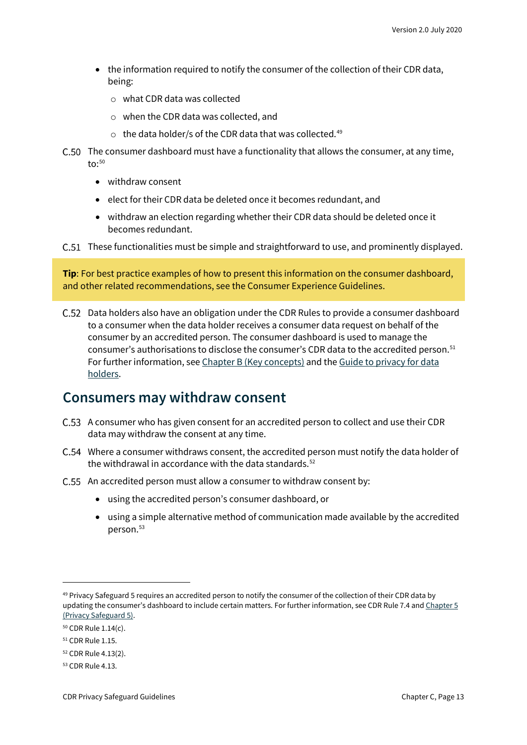- the information required to notify the consumer of the collection of their CDR data, being:
	- o what CDR data was collected
	- o when the CDR data was collected, and
	- $\circ$  the data holder/s of the CDR data that was collected.<sup>[49](#page-12-1)</sup>
- C.50 The consumer dashboard must have a functionality that allows the consumer, at any time, to: $50$ 
	- withdraw consent
	- elect for their CDR data be deleted once it becomes redundant, and
	- withdraw an election regarding whether their CDR data should be deleted once it becomes redundant.
- C.51 These functionalities must be simple and straightforward to use, and prominently displayed.

**Tip**: For best practice examples of how to present this information on the consumer dashboard, and other related recommendations, see the Consumer Experience Guidelines.

Data holders also have an obligation under the CDR Rules to provide a consumer dashboard to a consumer when the data holder receives a consumer data request on behalf of the consumer by an accredited person. The consumer dashboard is used to manage the consumer's authorisations to disclose the consumer's CDR data to the accredited person. [51](#page-12-3) For further information, se[e Chapter B \(Key concepts\)](https://www.oaic.gov.au/consumer-data-right/cdr-privacy-safeguard-guidelines/chapter-b-key-concepts/#consumer-dashboard-or-dashboard) and th[e Guide to privacy for data](https://www.oaic.gov.au/consumer-data-right/guidance-and-advice/guide-to-privacy-for-data-holders/#how-authorisations-must-be-managed)  [holders.](https://www.oaic.gov.au/consumer-data-right/guidance-and-advice/guide-to-privacy-for-data-holders/#how-authorisations-must-be-managed)

#### <span id="page-12-0"></span>**Consumers may withdraw consent**

- A consumer who has given consent for an accredited person to collect and use their CDR data may withdraw the consent at any time.
- Where a consumer withdraws consent, the accredited person must notify the data holder of the withdrawal in accordance with the data standards.<sup>[52](#page-12-4)</sup>
- C.55 An accredited person must allow a consumer to withdraw consent by:
	- using the accredited person's consumer dashboard, or
	- using a simple alternative method of communication made available by the accredited person.[53](#page-12-5)

<span id="page-12-1"></span><sup>&</sup>lt;sup>49</sup> Privacy Safeguard 5 requires an accredited person to notify the consumer of the collection of their CDR data by updating the consumer's dashboard to include certain matters. For further information, see CDR Rule 7.4 an[d Chapter 5](https://www.oaic.gov.au/consumer-data-right/cdr-privacy-safeguard-guidelines/chapter-5-privacy-safeguard-5-notifying-of-the-collection-of-cdr-data)  [\(Privacy Safeguard 5\).](https://www.oaic.gov.au/consumer-data-right/cdr-privacy-safeguard-guidelines/chapter-5-privacy-safeguard-5-notifying-of-the-collection-of-cdr-data)

<span id="page-12-2"></span><sup>50</sup> CDR Rule 1.14(c).

<span id="page-12-3"></span><sup>51</sup> CDR Rule 1.15.

<span id="page-12-4"></span><sup>52</sup> CDR Rule 4.13(2).

<span id="page-12-5"></span><sup>53</sup> CDR Rule 4.13.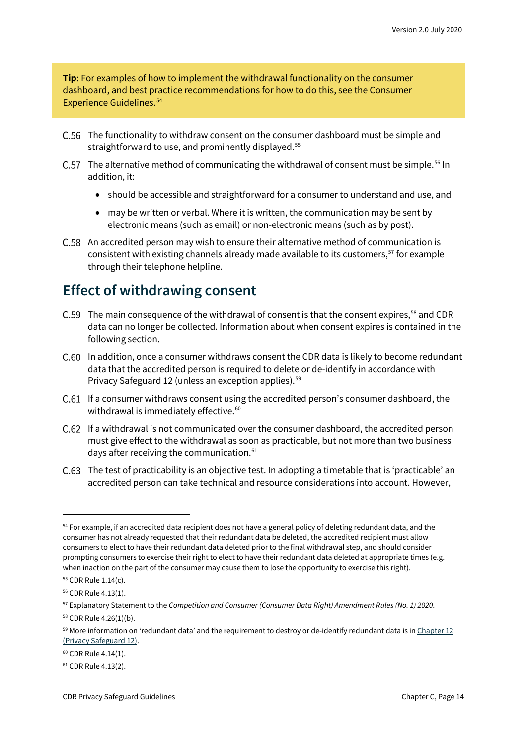**Tip**: For examples of how to implement the withdrawal functionality on the consumer dashboard, and best practice recommendations for how to do this, see the Consumer Experience Guidelines. [54](#page-13-1)

- C.56 The functionality to withdraw consent on the consumer dashboard must be simple and straightforward to use, and prominently displayed.<sup>[55](#page-13-2)</sup>
- C.57 The alternative method of communicating the withdrawal of consent must be simple.<sup>[56](#page-13-3)</sup> In addition, it:
	- should be accessible and straightforward for a consumer to understand and use, and
	- may be written or verbal. Where it is written, the communication may be sent by electronic means (such as email) or non-electronic means (such as by post).
- An accredited person may wish to ensure their alternative method of communication is consistent with existing channels already made available to its customers,<sup>[57](#page-13-4)</sup> for example through their telephone helpline.

#### <span id="page-13-0"></span>**Effect of withdrawing consent**

- C.59 The main consequence of the withdrawal of consent is that the consent expires,<sup>[58](#page-13-5)</sup> and CDR data can no longer be collected. Information about when consent expires is contained in the following section.
- C.60 In addition, once a consumer withdraws consent the CDR data is likely to become redundant data that the accredited person is required to delete or de-identify in accordance with Privacy Safeguard 12 (unless an exception applies).<sup>[59](#page-13-6)</sup>
- C.61 If a consumer withdraws consent using the accredited person's consumer dashboard, the withdrawal is immediately effective. [60](#page-13-7)
- If a withdrawal is not communicated over the consumer dashboard, the accredited person must give effect to the withdrawal as soon as practicable, but not more than two business days after receiving the communication.<sup>[61](#page-13-8)</sup>
- The test of practicability is an objective test. In adopting a timetable that is 'practicable' an accredited person can take technical and resource considerations into account. However,

<span id="page-13-1"></span><sup>&</sup>lt;sup>54</sup> For example, if an accredited data recipient does not have a general policy of deleting redundant data, and the consumer has not already requested that their redundant data be deleted, the accredited recipient must allow consumers to elect to have their redundant data deleted prior to the final withdrawal step, and should consider prompting consumers to exercise their right to elect to have their redundant data deleted at appropriate times (e.g. when inaction on the part of the consumer may cause them to lose the opportunity to exercise this right).

<span id="page-13-2"></span><sup>55</sup> CDR Rule 1.14(c).

<span id="page-13-3"></span><sup>56</sup> CDR Rule 4.13(1).

<span id="page-13-4"></span><sup>57</sup> Explanatory Statement to the *Competition and Consumer (Consumer Data Right) Amendment Rules (No. 1) 2020*.

<span id="page-13-5"></span><sup>58</sup> CDR Rule 4.26(1)(b).

<span id="page-13-6"></span> $59$  More information on 'redundant data' and the requirement to destroy or de-identify redundant data is in Chapter 12 [\(Privacy Safeguard 12\).](https://www.oaic.gov.au/consumer-data-right/cdr-privacy-safeguard-guidelines/chapter-12-privacy-safeguard-12-security-of-cdr-data-and-destruction-of-de-identification-of-redundant-cdr-data)

<span id="page-13-7"></span><sup>60</sup> CDR Rule 4.14(1).

<span id="page-13-8"></span><sup>61</sup> CDR Rule 4.13(2).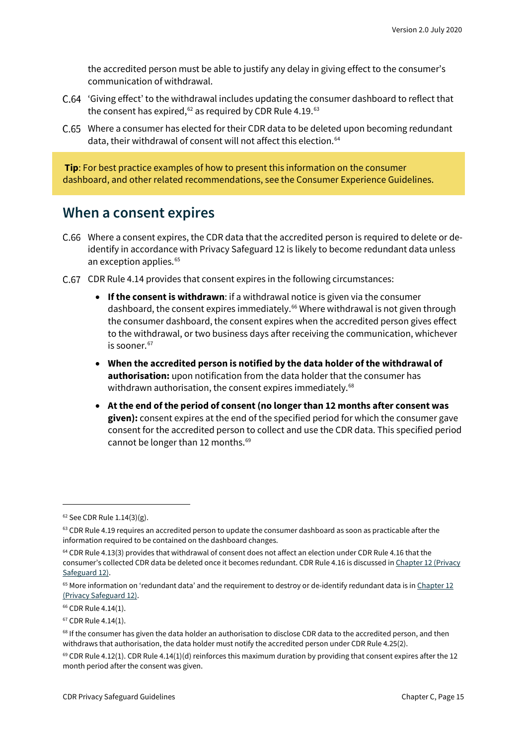the accredited person must be able to justify any delay in giving effect to the consumer's communication of withdrawal.

- 'Giving effect' to the withdrawal includes updating the consumer dashboard to reflect that the consent has expired,<sup>[62](#page-14-1)</sup> as required by CDR Rule 4.19.<sup>[63](#page-14-2)</sup>
- C.65 Where a consumer has elected for their CDR data to be deleted upon becoming redundant data, their withdrawal of consent will not affect this election.<sup>[64](#page-14-3)</sup>

**Tip**: For best practice examples of how to present this information on the consumer dashboard, and other related recommendations, see the Consumer Experience Guidelines.

#### <span id="page-14-0"></span>**When a consent expires**

- Where a consent expires, the CDR data that the accredited person is required to delete or deidentify in accordance with Privacy Safeguard 12 is likely to become redundant data unless an exception applies.<sup>[65](#page-14-4)</sup>
- C.67 CDR Rule 4.14 provides that consent expires in the following circumstances:
	- **If the consent is withdrawn**: if a withdrawal notice is given via the consumer dashboard, the consent expires immediately.<sup>66</sup> Where withdrawal is not given through the consumer dashboard, the consent expires when the accredited person gives effect to the withdrawal, or two business days after receiving the communication, whichever is sooner. [67](#page-14-6)
	- **When the accredited person is notified by the data holder of the withdrawal of authorisation:** upon notification from the data holder that the consumer has withdrawn authorisation, the consent expires immediately.<sup>[68](#page-14-7)</sup>
	- **At the end of the period of consent (no longer than 12 months after consent was given):** consent expires at the end of the specified period for which the consumer gave consent for the accredited person to collect and use the CDR data. This specified period cannot be longer than 12 months. [69](#page-14-8)

<span id="page-14-1"></span> $62$  See CDR Rule 1.14(3)(g).

<span id="page-14-2"></span><sup>&</sup>lt;sup>63</sup> CDR Rule 4.19 requires an accredited person to update the consumer dashboard as soon as practicable after the information required to be contained on the dashboard changes.

<span id="page-14-3"></span><sup>&</sup>lt;sup>64</sup> CDR Rule 4.13(3) provides that withdrawal of consent does not affect an election under CDR Rule 4.16 that the consumer's collected CDR data be deleted once it becomes redundant. CDR Rule 4.16 is discussed i[n Chapter 12 \(Privacy](https://www.oaic.gov.au/consumer-data-right/cdr-privacy-safeguard-guidelines/chapter-12-privacy-safeguard-12-security-of-cdr-data-and-destruction-of-de-identification-of-redundant-cdr-data)  [Safeguard 12\).](https://www.oaic.gov.au/consumer-data-right/cdr-privacy-safeguard-guidelines/chapter-12-privacy-safeguard-12-security-of-cdr-data-and-destruction-of-de-identification-of-redundant-cdr-data)

<span id="page-14-4"></span> $65$  More information on 'redundant data' and the requirement to destroy or de-identify redundant data is in Chapter 12 [\(Privacy Safeguard 12\).](https://www.oaic.gov.au/consumer-data-right/cdr-privacy-safeguard-guidelines/chapter-12-privacy-safeguard-12-security-of-cdr-data-and-destruction-of-de-identification-of-redundant-cdr-data)

<span id="page-14-5"></span><sup>&</sup>lt;sup>66</sup> CDR Rule 4.14(1).

<span id="page-14-6"></span><sup>67</sup> CDR Rule 4.14(1).

<span id="page-14-7"></span><sup>&</sup>lt;sup>68</sup> If the consumer has given the data holder an authorisation to disclose CDR data to the accredited person, and then withdraws that authorisation, the data holder must notify the accredited person under CDR Rule 4.25(2).

<span id="page-14-8"></span> $69$  CDR Rule 4.12(1). CDR Rule 4.14(1)(d) reinforces this maximum duration by providing that consent expires after the 12 month period after the consent was given.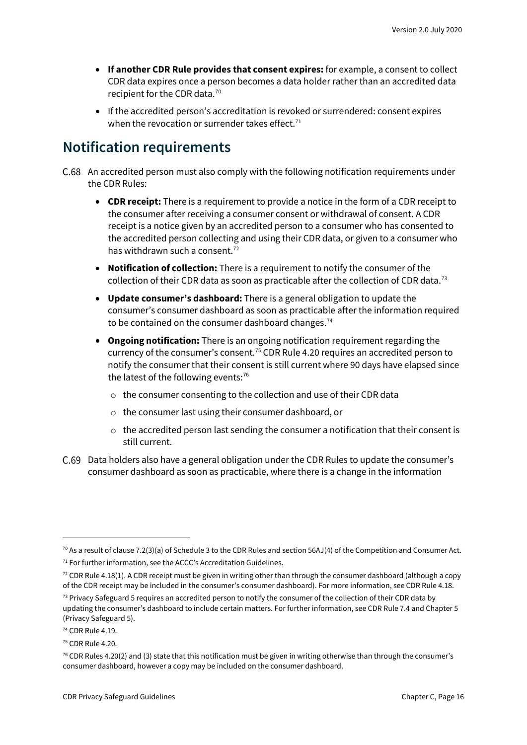- **If another CDR Rule provides that consent expires:** for example, a consent to collect CDR data expires once a person becomes a data holder rather than an accredited data recipient for the CDR data. [70](#page-15-1)
- If the accredited person's accreditation is revoked or surrendered: consent expires when the revocation or surrender takes effect.<sup>[71](#page-15-2)</sup>

#### <span id="page-15-0"></span>**Notification requirements**

- C.68 An accredited person must also comply with the following notification requirements under the CDR Rules:
	- **CDR receipt:** There is a requirement to provide a notice in the form of a CDR receipt to the consumer after receiving a consumer consent or withdrawal of consent. A CDR receipt is a notice given by an accredited person to a consumer who has consented to the accredited person collecting and using their CDR data, or given to a consumer who has withdrawn such a consent.<sup>[72](#page-15-3)</sup>
	- **Notification of collection:** There is a requirement to notify the consumer of the collection of their CDR data as soon as practicable after the collection of CDR data.[73](#page-15-4)
	- **Update consumer's dashboard:** There is a general obligation to update the consumer's consumer dashboard as soon as practicable after the information required to be contained on the consumer dashboard changes.<sup>[74](#page-15-5)</sup>
	- **Ongoing notification:** There is an ongoing notification requirement regarding the currency of the consumer's consent.[75](#page-15-6) CDR Rule 4.20 requires an accredited person to notify the consumer that their consent is still current where 90 days have elapsed since the latest of the following events: [76](#page-15-7)
		- o the consumer consenting to the collection and use of their CDR data
		- o the consumer last using their consumer dashboard, or
		- o the accredited person last sending the consumer a notification that their consent is still current.
- Data holders also have a general obligation under the CDR Rules to update the consumer's consumer dashboard as soon as practicable, where there is a change in the information

<span id="page-15-2"></span><span id="page-15-1"></span> $70$  As a result of clause 7.2(3)(a) of Schedule 3 to the CDR Rules and section 56AJ(4) of the Competition and Consumer Act.  $71$  For further information, see the ACCC's Accreditation Guidelines.

<span id="page-15-3"></span> $72$  CDR Rule 4.18(1). A CDR receipt must be given in writing other than through the consumer dashboard (although a copy of the CDR receipt may be included in the consumer's consumer dashboard). For more information, see CDR Rule 4.18.

<span id="page-15-4"></span> $73$  Privacy Safeguard 5 requires an accredited person to notify the consumer of the collection of their CDR data by updating the consumer's dashboard to include certain matters. For further information, see CDR Rule 7.4 and Chapter 5 (Privacy Safeguard 5).

<span id="page-15-5"></span><sup>74</sup> CDR Rule 4.19.

<span id="page-15-6"></span><sup>75</sup> CDR Rule 4.20.

<span id="page-15-7"></span> $76$  CDR Rules 4.20(2) and (3) state that this notification must be given in writing otherwise than through the consumer's consumer dashboard, however a copy may be included on the consumer dashboard.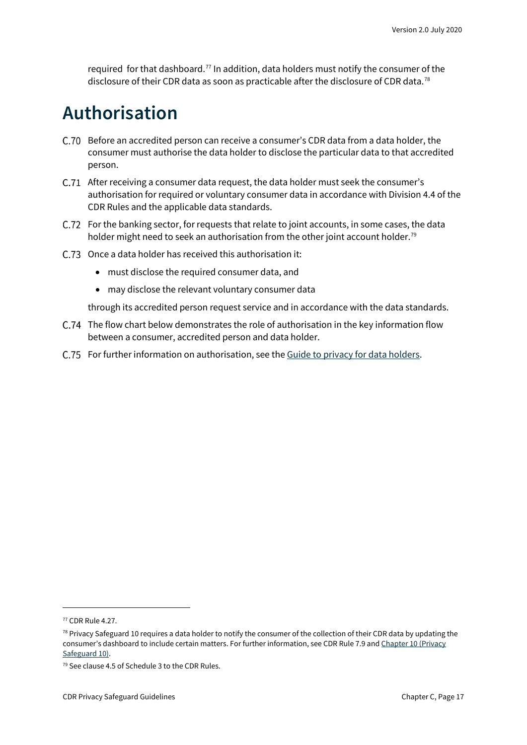required for that dashboard.<sup>[77](#page-16-1)</sup> In addition, data holders must notify the consumer of the disclosure of their CDR data as soon as practicable after the disclosure of CDR data.<sup>[78](#page-16-2)</sup>

### <span id="page-16-0"></span>**Authorisation**

- Before an accredited person can receive a consumer's CDR data from a data holder, the consumer must authorise the data holder to disclose the particular data to that accredited person.
- C.71 After receiving a consumer data request, the data holder must seek the consumer's authorisation for required or voluntary consumer data in accordance with Division 4.4 of the CDR Rules and the applicable data standards.
- C.72 For the banking sector, for requests that relate to joint accounts, in some cases, the data holder might need to seek an authorisation from the other joint account holder.<sup>[79](#page-16-3)</sup>
- C.73 Once a data holder has received this authorisation it:
	- must disclose the required consumer data, and
	- may disclose the relevant voluntary consumer data

through its accredited person request service and in accordance with the data standards.

- C.74 The flow chart below demonstrates the role of authorisation in the key information flow between a consumer, accredited person and data holder.
- For further information on authorisation, see th[e Guide to privacy for data holders.](https://www.oaic.gov.au/consumer-data-right/guidance-and-advice/guide-to-privacy-for-data-holders/#authorisation)

<span id="page-16-1"></span><sup>77</sup> CDR Rule 4.27.

<span id="page-16-2"></span> $78$  Privacy Safeguard 10 requires a data holder to notify the consumer of the collection of their CDR data by updating the consumer's dashboard to include certain matters. For further information, see CDR Rule 7.9 and Chapter 10 (Privacy [Safeguard 10\).](https://www.oaic.gov.au/consumer-data-right/cdr-privacy-safeguard-guidelines/chapter-10-privacy-safeguard-10-notifying-of-the-disclosure-of-cdr-data)

<span id="page-16-3"></span><sup>79</sup> See clause 4.5 of Schedule 3 to the CDR Rules.